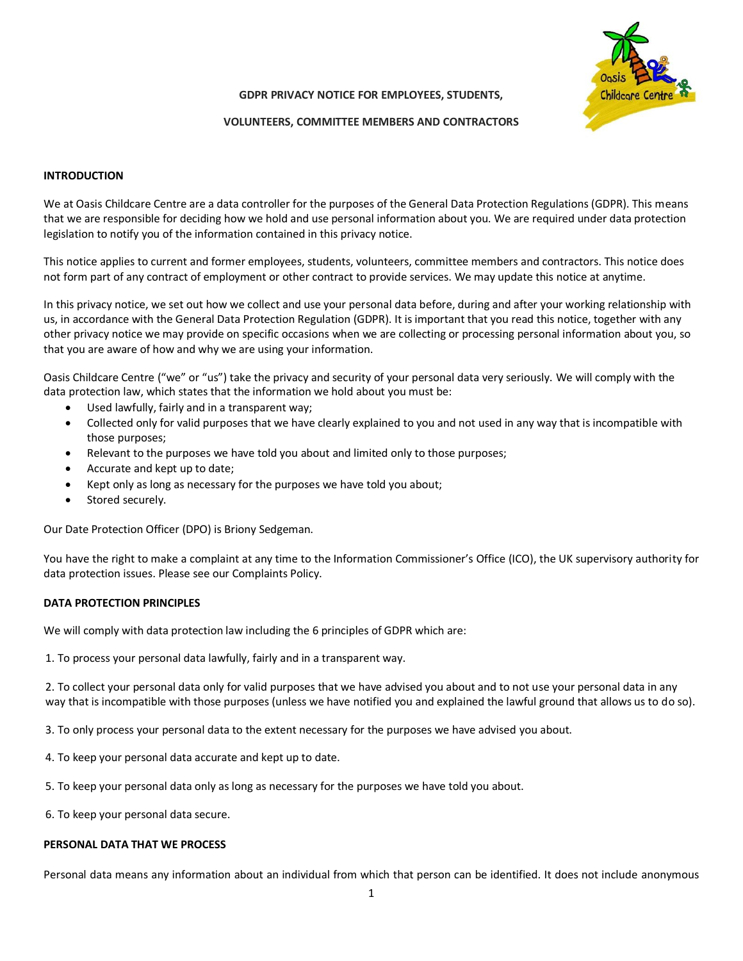

### **GDPR PRIVACY NOTICE FOR EMPLOYEES, STUDENTS,**

### **VOLUNTEERS, COMMITTEE MEMBERS AND CONTRACTORS**

## **INTRODUCTION**

We at Oasis Childcare Centre are a data controller for the purposes of the General Data Protection Regulations (GDPR). This means that we are responsible for deciding how we hold and use personal information about you. We are required under data protection legislation to notify you of the information contained in this privacy notice.

This notice applies to current and former employees, students, volunteers, committee members and contractors. This notice does not form part of any contract of employment or other contract to provide services. We may update this notice at anytime.

In this privacy notice, we set out how we collect and use your personal data before, during and after your working relationship with us, in accordance with the General Data Protection Regulation (GDPR). It is important that you read this notice, together with any other privacy notice we may provide on specific occasions when we are collecting or processing personal information about you, so that you are aware of how and why we are using your information.

Oasis Childcare Centre ("we" or "us") take the privacy and security of your personal data very seriously. We will comply with the data protection law, which states that the information we hold about you must be:

- Used lawfully, fairly and in a transparent way;
- Collected only for valid purposes that we have clearly explained to you and not used in any way that is incompatible with those purposes;
- Relevant to the purposes we have told you about and limited only to those purposes;
- Accurate and kept up to date;
- Kept only as long as necessary for the purposes we have told you about;
- Stored securely.

Our Date Protection Officer (DPO) is Briony Sedgeman.

You have the right to make a complaint at any time to the Information Commissioner's Office (ICO), the UK supervisory authority for data protection issues. Please see our Complaints Policy.

### **DATA PROTECTION PRINCIPLES**

We will comply with data protection law including the 6 principles of GDPR which are:

1. To process your personal data lawfully, fairly and in a transparent way.

2. To collect your personal data only for valid purposes that we have advised you about and to not use your personal data in any way that is incompatible with those purposes (unless we have notified you and explained the lawful ground that allows us to do so).

3. To only process your personal data to the extent necessary for the purposes we have advised you about.

- 4. To keep your personal data accurate and kept up to date.
- 5. To keep your personal data only as long as necessary for the purposes we have told you about.

6. To keep your personal data secure.

#### **PERSONAL DATA THAT WE PROCESS**

Personal data means any information about an individual from which that person can be identified. It does not include anonymous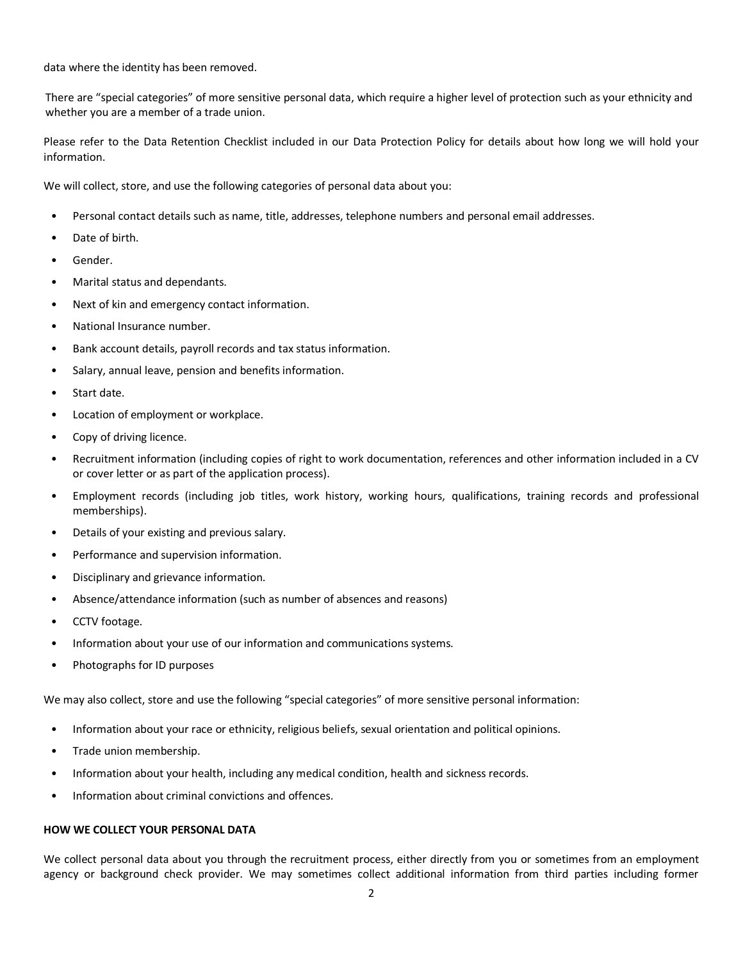data where the identity has been removed.

There are "special categories" of more sensitive personal data, which require a higher level of protection such as your ethnicity and whether you are a member of a trade union.

Please refer to the Data Retention Checklist included in our Data Protection Policy for details about how long we will hold your information.

We will collect, store, and use the following categories of personal data about you:

- Personal contact details such as name, title, addresses, telephone numbers and personal email addresses.
- Date of birth.
- Gender.
- Marital status and dependants.
- Next of kin and emergency contact information.
- National Insurance number.
- Bank account details, payroll records and tax status information.
- Salary, annual leave, pension and benefits information.
- Start date.
- Location of employment or workplace.
- Copy of driving licence.
- Recruitment information (including copies of right to work documentation, references and other information included in a CV or cover letter or as part of the application process).
- Employment records (including job titles, work history, working hours, qualifications, training records and professional memberships).
- Details of your existing and previous salary.
- Performance and supervision information.
- Disciplinary and grievance information.
- Absence/attendance information (such as number of absences and reasons)
- CCTV footage.
- Information about your use of our information and communications systems.
- Photographs for ID purposes

We may also collect, store and use the following "special categories" of more sensitive personal information:

- Information about your race or ethnicity, religious beliefs, sexual orientation and political opinions.
- Trade union membership.
- Information about your health, including any medical condition, health and sickness records.
- Information about criminal convictions and offences.

#### **HOW WE COLLECT YOUR PERSONAL DATA**

We collect personal data about you through the recruitment process, either directly from you or sometimes from an employment agency or background check provider. We may sometimes collect additional information from third parties including former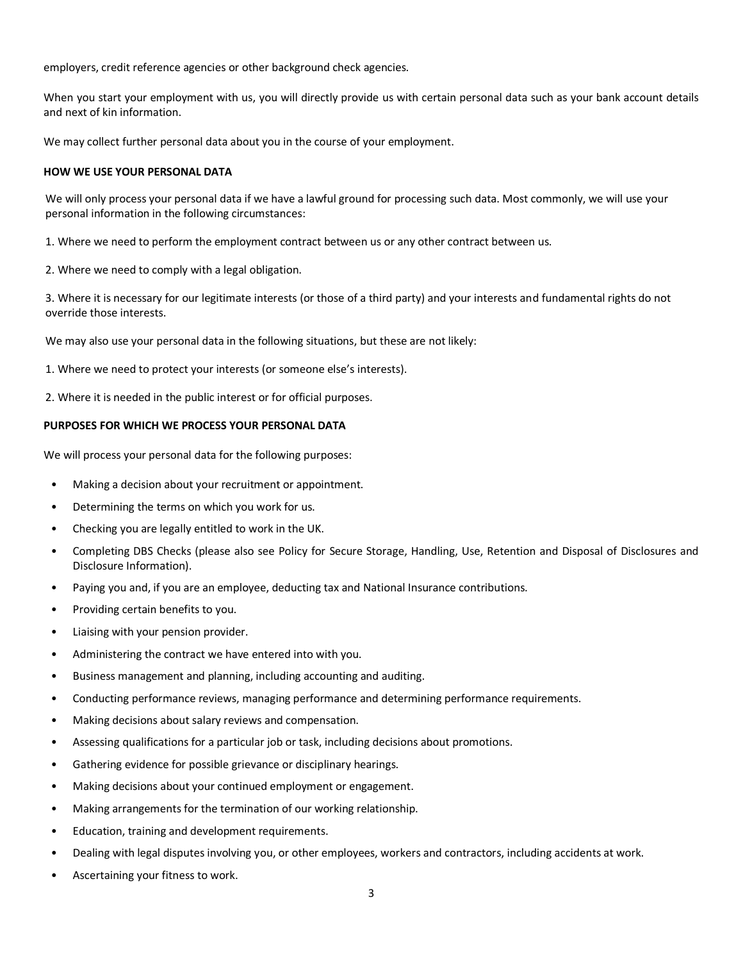employers, credit reference agencies or other background check agencies.

When you start your employment with us, you will directly provide us with certain personal data such as your bank account details and next of kin information.

We may collect further personal data about you in the course of your employment.

### **HOW WE USE YOUR PERSONAL DATA**

We will only process your personal data if we have a lawful ground for processing such data. Most commonly, we will use your personal information in the following circumstances:

1. Where we need to perform the employment contract between us or any other contract between us.

2. Where we need to comply with a legal obligation.

3. Where it is necessary for our legitimate interests (or those of a third party) and your interests and fundamental rights do not override those interests.

We may also use your personal data in the following situations, but these are not likely:

1. Where we need to protect your interests (or someone else's interests).

2. Where it is needed in the public interest or for official purposes.

## **PURPOSES FOR WHICH WE PROCESS YOUR PERSONAL DATA**

We will process your personal data for the following purposes:

- Making a decision about your recruitment or appointment.
- Determining the terms on which you work for us.
- Checking you are legally entitled to work in the UK.
- Completing DBS Checks (please also see Policy for Secure Storage, Handling, Use, Retention and Disposal of Disclosures and Disclosure Information).
- Paying you and, if you are an employee, deducting tax and National Insurance contributions.
- Providing certain benefits to you.
- Liaising with your pension provider.
- Administering the contract we have entered into with you.
- Business management and planning, including accounting and auditing.
- Conducting performance reviews, managing performance and determining performance requirements.
- Making decisions about salary reviews and compensation.
- Assessing qualifications for a particular job or task, including decisions about promotions.
- Gathering evidence for possible grievance or disciplinary hearings.
- Making decisions about your continued employment or engagement.
- Making arrangements for the termination of our working relationship.
- Education, training and development requirements.
- Dealing with legal disputes involving you, or other employees, workers and contractors, including accidents at work.
- Ascertaining your fitness to work.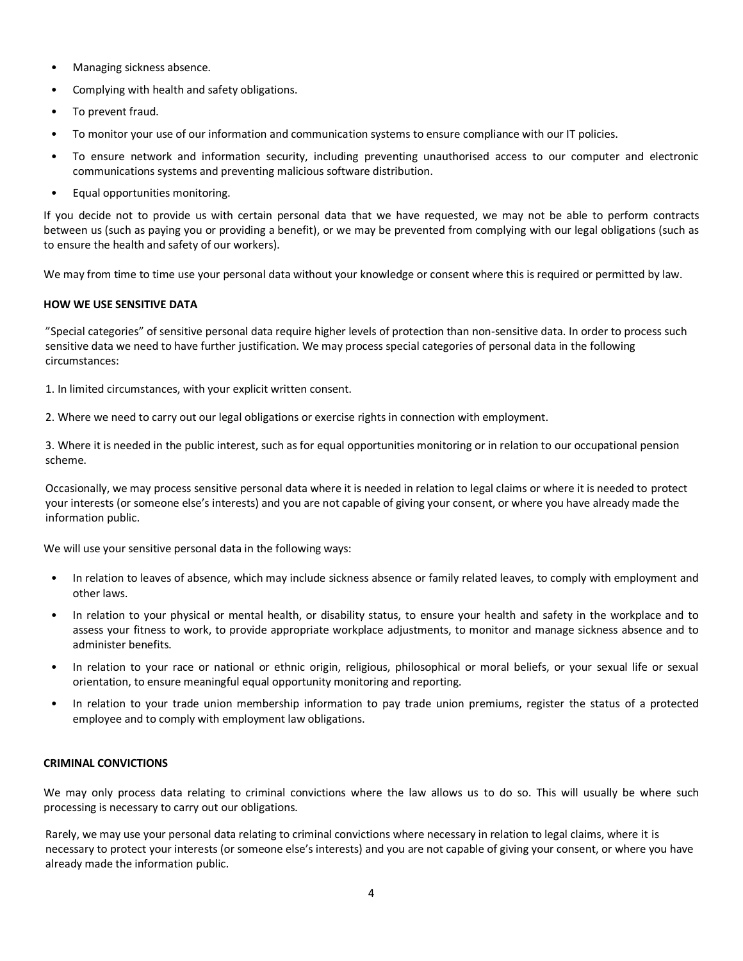- Managing sickness absence.
- Complying with health and safety obligations.
- To prevent fraud.
- To monitor your use of our information and communication systems to ensure compliance with our IT policies.
- To ensure network and information security, including preventing unauthorised access to our computer and electronic communications systems and preventing malicious software distribution.
- Equal opportunities monitoring.

If you decide not to provide us with certain personal data that we have requested, we may not be able to perform contracts between us (such as paying you or providing a benefit), or we may be prevented from complying with our legal obligations (such as to ensure the health and safety of our workers).

We may from time to time use your personal data without your knowledge or consent where this is required or permitted by law.

# **HOW WE USE SENSITIVE DATA**

"Special categories" of sensitive personal data require higher levels of protection than non-sensitive data. In order to process such sensitive data we need to have further justification. We may process special categories of personal data in the following circumstances:

1. In limited circumstances, with your explicit written consent.

2. Where we need to carry out our legal obligations or exercise rights in connection with employment.

3. Where it is needed in the public interest, such as for equal opportunities monitoring or in relation to our occupational pension scheme.

Occasionally, we may process sensitive personal data where it is needed in relation to legal claims or where it is needed to protect your interests (or someone else's interests) and you are not capable of giving your consent, or where you have already made the information public.

We will use your sensitive personal data in the following ways:

- In relation to leaves of absence, which may include sickness absence or family related leaves, to comply with employment and other laws.
- In relation to your physical or mental health, or disability status, to ensure your health and safety in the workplace and to assess your fitness to work, to provide appropriate workplace adjustments, to monitor and manage sickness absence and to administer benefits.
- In relation to your race or national or ethnic origin, religious, philosophical or moral beliefs, or your sexual life or sexual orientation, to ensure meaningful equal opportunity monitoring and reporting.
- In relation to your trade union membership information to pay trade union premiums, register the status of a protected employee and to comply with employment law obligations.

# **CRIMINAL CONVICTIONS**

We may only process data relating to criminal convictions where the law allows us to do so. This will usually be where such processing is necessary to carry out our obligations.

Rarely, we may use your personal data relating to criminal convictions where necessary in relation to legal claims, where it is necessary to protect your interests (or someone else's interests) and you are not capable of giving your consent, or where you have already made the information public.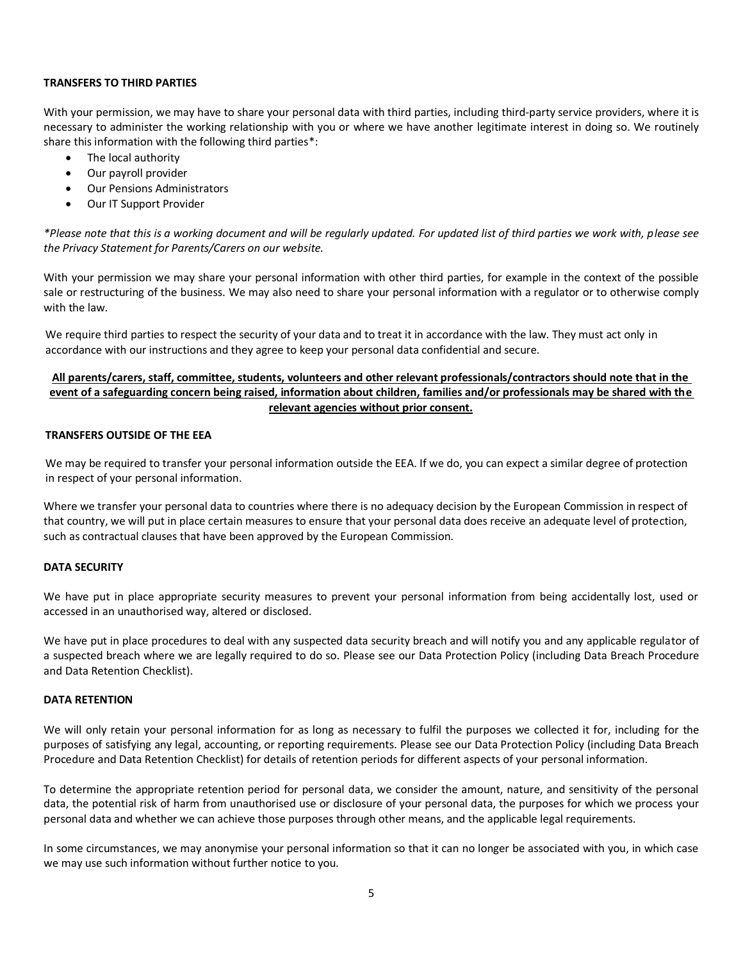### **TRANSFERS TO THIRD PARTIES**

With your permission, we may have to share your personal data with third parties, including third-party service providers, where it is necessary to administer the working relationship with you or where we have another legitimate interest in doing so. We routinely share this information with the following third parties\*:

- The local authority
- Our payroll provider
- Our Pensions Administrators
- Our IT Support Provider

*\*Please note that this is a working document and will be regularly updated. For updated list of third parties we work with, please see the Privacy Statement for Parents/Carers on our website.*

With your permission we may share your personal information with other third parties, for example in the context of the possible sale or restructuring of the business. We may also need to share your personal information with a regulator or to otherwise comply with the law.

We require third parties to respect the security of your data and to treat it in accordance with the law. They must act only in accordance with our instructions and they agree to keep your personal data confidential and secure.

# **All parents/carers, staff, committee, students, volunteers and other relevant professionals/contractors should note that in the event of a safeguarding concern being raised, information about children, families and/or professionals may be shared with the relevant agencies without prior consent.**

## **TRANSFERS OUTSIDE OF THE EEA**

We may be required to transfer your personal information outside the EEA. If we do, you can expect a similar degree of protection in respect of your personal information.

Where we transfer your personal data to countries where there is no adequacy decision by the European Commission in respect of that country, we will put in place certain measures to ensure that your personal data does receive an adequate level of protection, such as contractual clauses that have been approved by the European Commission.

#### **DATA SECURITY**

We have put in place appropriate security measures to prevent your personal information from being accidentally lost, used or accessed in an unauthorised way, altered or disclosed.

We have put in place procedures to deal with any suspected data security breach and will notify you and any applicable regulator of a suspected breach where we are legally required to do so. Please see our Data Protection Policy (including Data Breach Procedure and Data Retention Checklist).

## **DATA RETENTION**

We will only retain your personal information for as long as necessary to fulfil the purposes we collected it for, including for the purposes of satisfying any legal, accounting, or reporting requirements. Please see our Data Protection Policy (including Data Breach Procedure and Data Retention Checklist) for details of retention periods for different aspects of your personal information.

To determine the appropriate retention period for personal data, we consider the amount, nature, and sensitivity of the personal data, the potential risk of harm from unauthorised use or disclosure of your personal data, the purposes for which we process your personal data and whether we can achieve those purposes through other means, and the applicable legal requirements.

In some circumstances, we may anonymise your personal information so that it can no longer be associated with you, in which case we may use such information without further notice to you.